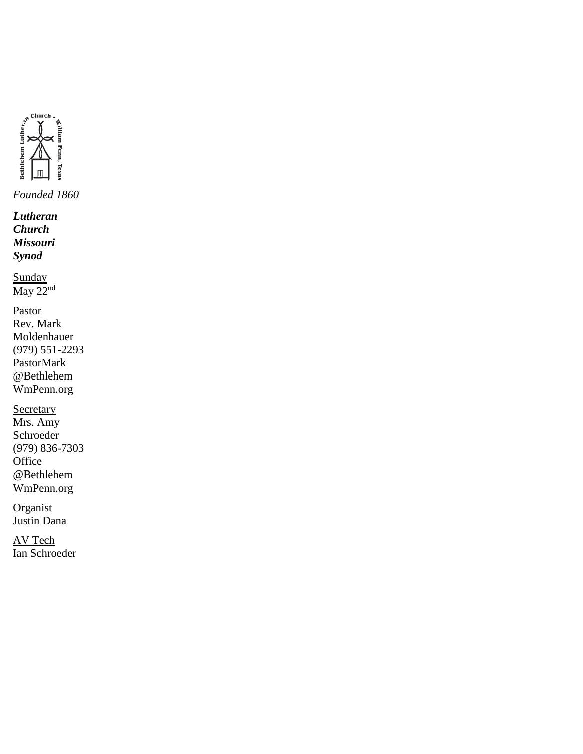

*Lutheran Church Missouri Synod*

Sunday May 22<sup>nd</sup>

Pastor Rev. Mark Moldenhauer (979) 551-2293 PastorMark @Bethlehem WmPenn.org

**Secretary** Mrs. Amy Schroeder (979) 836-7303 **Office** @Bethlehem WmPenn.org

**Organist** Justin Dana

AV Tech Ian Schroeder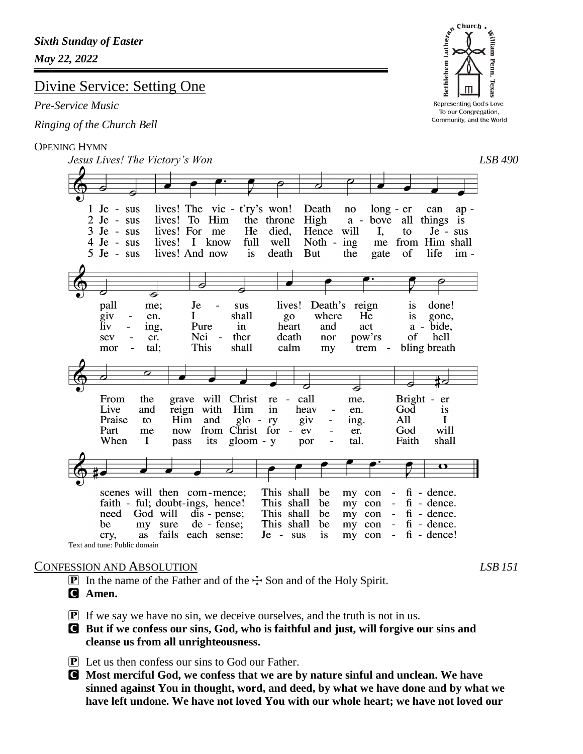# Divine Service: Setting One

### *Pre-Service Music*

*Ringing of the Church Bell*

### OPENING HYMN

*Jesus Lives! The Victory's Won LSB 490*  $1$  Je - sus lives! The vic - t'ry's won! Death can no  $long - er$  $ap 2$  Je - sus lives! To Him the throne High a bove all things is  $3$  Je - sus lives! For me He died. Hence will  $\mathbf{I},$ Je - sus to  $4 \text{Je} - \text{sus}$ lives! I know full well Noth -  $ing$ me from Him shall  $5$  Je - sus lives! And now *is* death But the of life  $im$ gate 7 pall Je Death's reign me; sus lives! is done!  $\overline{q}$ iv en.  $\bf{I}$ shall go where He is gone. liv ing, Pure  $in$ heart and act a  $\overline{\phantom{a}}$ bide. Nei pow'rs sev er.  $\sim$ ther death nor οf hell This shall calm bling breath mor tal; my trem -⋣ From the grave will Christ re call me. Bright - er Live and reign with heav God Him in en. *is* Praise Him and  $g$ lo giv All I to ry ing. Part from Christ for God will me now ev  $\overline{\phantom{0}}$ er. When  $\bf{I}$ its gloom - y tal. Faith shall pass por  $\overline{a}$ This shall scenes will then com-mence; be my con  $\blacksquare$  $fi$  - dence. This shall faith - ful; doubt-ings, hence! be my con  $\equiv$  $fi$  - dence. dis - pense; This shall  $fi$  - dence. need God will be my con  $\sim$ This shall be my sure de - fense; be my con  $\overline{\phantom{a}}$  $fi$  - dence. cry, as fails each sense: Je - sus is my con  $\blacksquare$  $fi - \text{dence!}$ Text and tune: Public domain

# CONFESSION AND ABSOLUTION *LSB 151*

- **P** In the name of the Father and of the  $\pm$  Son and of the Holy Spirit.
- C **Amen.**
- $\mathbf{P}$  If we say we have no sin, we deceive ourselves, and the truth is not in us.
- C **But if we confess our sins, God, who is faithful and just, will forgive our sins and cleanse us from all unrighteousness.**
- $\boxed{\mathbf{P}}$  Let us then confess our sins to God our Father.
- C **Most merciful God, we confess that we are by nature sinful and unclean. We have sinned against You in thought, word, and deed, by what we have done and by what we have left undone. We have not loved You with our whole heart; we have not loved our**

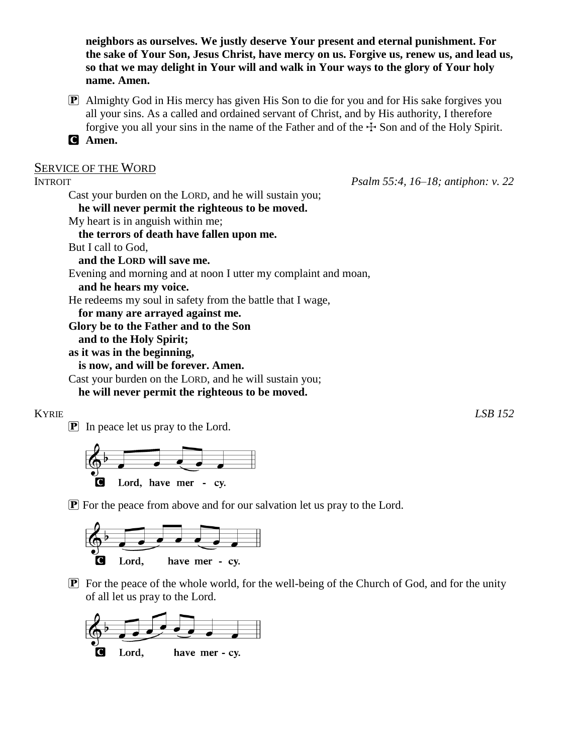**neighbors as ourselves. We justly deserve Your present and eternal punishment. For the sake of Your Son, Jesus Christ, have mercy on us. Forgive us, renew us, and lead us, so that we may delight in Your will and walk in Your ways to the glory of Your holy name. Amen.**

P Almighty God in His mercy has given His Son to die for you and for His sake forgives you all your sins. As a called and ordained servant of Christ, and by His authority, I therefore forgive you all your sins in the name of the Father and of the  $\pm$  Son and of the Holy Spirit.

C **Amen.**

### SERVICE OF THE WORD

| <b>INTROIT</b>                                  | Psalm 55:4, 16–18; antiphon: v. 22                             |
|-------------------------------------------------|----------------------------------------------------------------|
|                                                 | Cast your burden on the LORD, and he will sustain you;         |
| he will never permit the righteous to be moved. |                                                                |
| My heart is in anguish within me;               |                                                                |
| the terrors of death have fallen upon me.       |                                                                |
| But I call to God,                              |                                                                |
| and the LORD will save me.                      |                                                                |
|                                                 | Evening and morning and at noon I utter my complaint and moan, |
| and he hears my voice.                          |                                                                |
|                                                 | He redeems my soul in safety from the battle that I wage,      |
| for many are arrayed against me.                |                                                                |
| Glory be to the Father and to the Son           |                                                                |
| and to the Holy Spirit;                         |                                                                |
| as it was in the beginning,                     |                                                                |
| is now, and will be forever. Amen.              |                                                                |
|                                                 | Cast your burden on the LORD, and he will sustain you;         |
| he will never permit the righteous to be moved. |                                                                |

# KYRIE *LSB 152*

P In peace let us pray to the Lord.



P For the peace from above and for our salvation let us pray to the Lord.



 $\boxed{\mathbf{P}}$  For the peace of the whole world, for the well-being of the Church of God, and for the unity of all let us pray to the Lord.

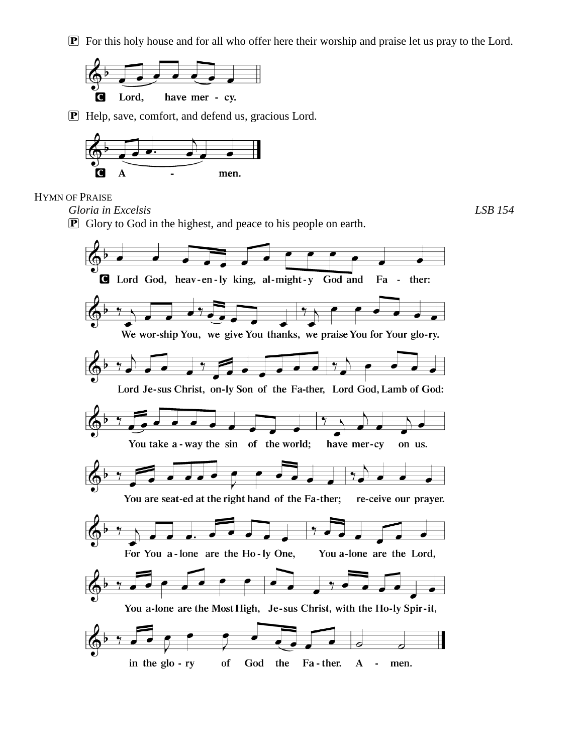P For this holy house and for all who offer here their worship and praise let us pray to the Lord.



P Help, save, comfort, and defend us, gracious Lord.



### HYMN OF PRAISE

*Gloria in Excelsis LSB 154*

**P** Glory to God in the highest, and peace to his people on earth.

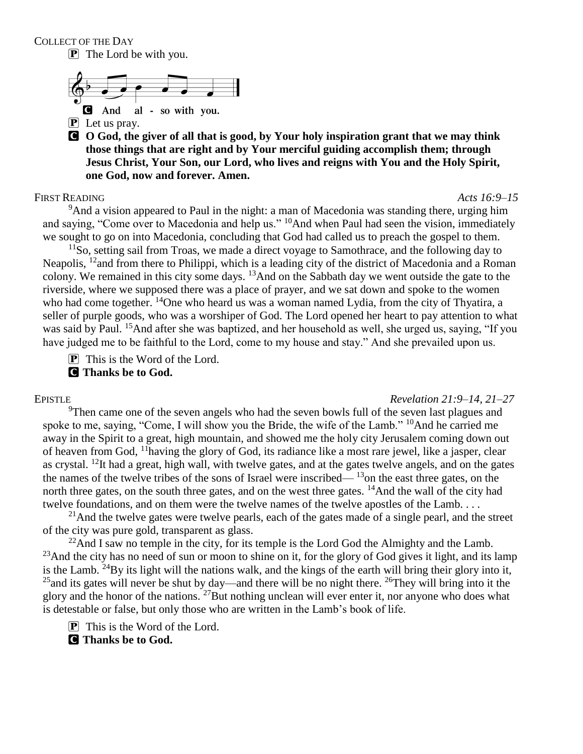COLLECT OF THE DAY

**P** The Lord be with you.



**P** Let us pray.

C **O God, the giver of all that is good, by Your holy inspiration grant that we may think those things that are right and by Your merciful guiding accomplish them; through Jesus Christ, Your Son, our Lord, who lives and reigns with You and the Holy Spirit, one God, now and forever. Amen.**

### FIRST READING *Acts 16:9–15*

<sup>9</sup>And a vision appeared to Paul in the night: a man of Macedonia was standing there, urging him and saying, "Come over to Macedonia and help us." <sup>10</sup>And when Paul had seen the vision, immediately we sought to go on into Macedonia, concluding that God had called us to preach the gospel to them.

 $11$ So, setting sail from Troas, we made a direct voyage to Samothrace, and the following day to Neapolis, <sup>12</sup> and from there to Philippi, which is a leading city of the district of Macedonia and a Roman colony. We remained in this city some days. <sup>13</sup>And on the Sabbath day we went outside the gate to the riverside, where we supposed there was a place of prayer, and we sat down and spoke to the women who had come together. <sup>14</sup>One who heard us was a woman named Lydia, from the city of Thyatira, a seller of purple goods, who was a worshiper of God. The Lord opened her heart to pay attention to what was said by Paul. <sup>15</sup>And after she was baptized, and her household as well, she urged us, saying, "If you have judged me to be faithful to the Lord, come to my house and stay." And she prevailed upon us.

 $\boxed{\mathbf{P}}$  This is the Word of the Lord.

C **Thanks be to God.**

EPISTLE *Revelation 21:9–14, 21–27*

 $9$ Then came one of the seven angels who had the seven bowls full of the seven last plagues and spoke to me, saying, "Come, I will show you the Bride, the wife of the Lamb." <sup>10</sup>And he carried me away in the Spirit to a great, high mountain, and showed me the holy city Jerusalem coming down out of heaven from God, <sup>11</sup>having the glory of God, its radiance like a most rare jewel, like a jasper, clear as crystal.  $^{12}$ It had a great, high wall, with twelve gates, and at the gates twelve angels, and on the gates the names of the twelve tribes of the sons of Israel were inscribed— $13$ on the east three gates, on the north three gates, on the south three gates, and on the west three gates. <sup>14</sup>And the wall of the city had twelve foundations, and on them were the twelve names of the twelve apostles of the Lamb....

 $^{21}$ And the twelve gates were twelve pearls, each of the gates made of a single pearl, and the street of the city was pure gold, transparent as glass.

 $^{22}$ And I saw no temple in the city, for its temple is the Lord God the Almighty and the Lamb. <sup>23</sup>And the city has no need of sun or moon to shine on it, for the glory of God gives it light, and its lamp is the Lamb.  $^{24}$ By its light will the nations walk, and the kings of the earth will bring their glory into it,  $^{25}$ and its gates will never be shut by day—and there will be no night there.  $^{26}$ They will bring into it the glory and the honor of the nations. <sup>27</sup>But nothing unclean will ever enter it, nor anyone who does what is detestable or false, but only those who are written in the Lamb's book of life.

 $\boxed{\mathbf{P}}$  This is the Word of the Lord.

C **Thanks be to God.**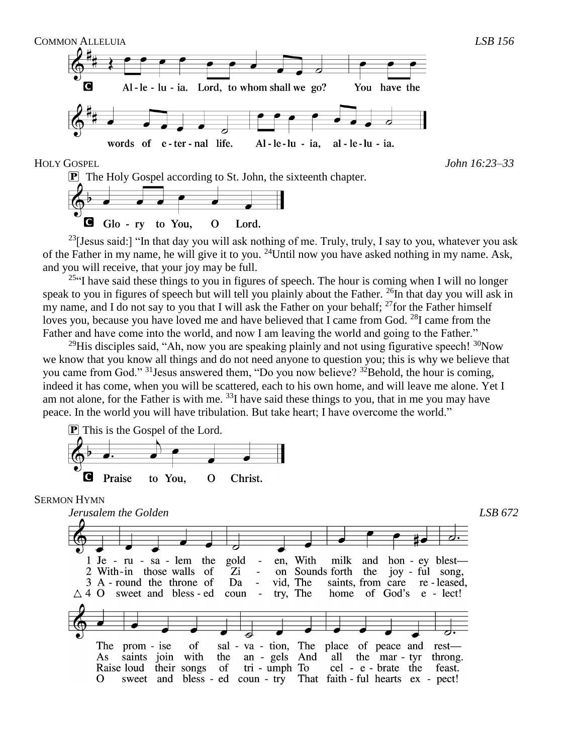

Q. Glo - ry to You,  $\Omega$ Lord.

<sup>23</sup>[Jesus said:] "In that day you will ask nothing of me. Truly, truly, I say to you, whatever you ask of the Father in my name, he will give it to you. <sup>24</sup>Until now you have asked nothing in my name. Ask, and you will receive, that your joy may be full.

<sup>25"</sup>I have said these things to you in figures of speech. The hour is coming when I will no longer speak to you in figures of speech but will tell you plainly about the Father. <sup>26</sup>In that day you will ask in my name, and I do not say to you that I will ask the Father on your behalf;  $^{27}$  for the Father himself loves you, because you have loved me and have believed that I came from God.  $^{28}$ I came from the Father and have come into the world, and now I am leaving the world and going to the Father."

<sup>29</sup>His disciples said, "Ah, now you are speaking plainly and not using figurative speech!  $\frac{30}{2}$ Now we know that you know all things and do not need anyone to question you; this is why we believe that you came from God."  $31$  Jesus answered them, "Do you now believe?  $32$  Behold, the hour is coming, indeed it has come, when you will be scattered, each to his own home, and will leave me alone. Yet I am not alone, for the Father is with me.  $^{33}$ I have said these things to you, that in me you may have peace. In the world you will have tribulation. But take heart; I have overcome the world."



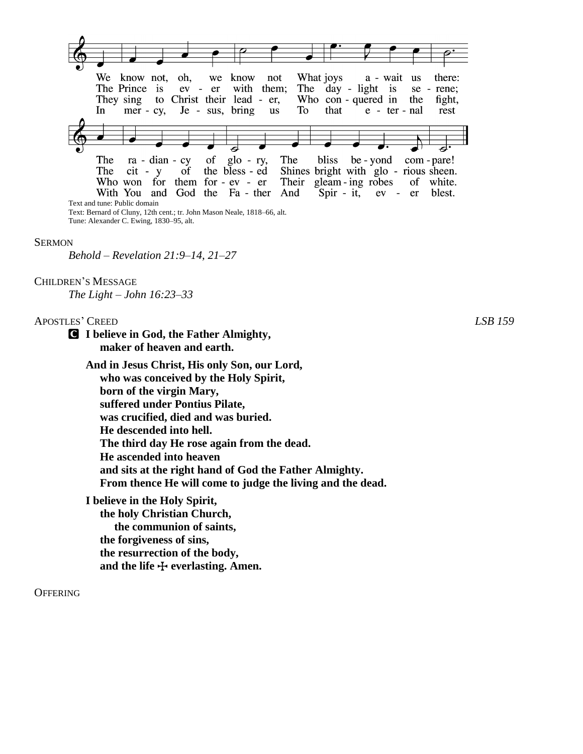

#### **SERMON**

*Behold – Revelation 21:9–14, 21–27*

### CHILDREN'S MESSAGE

*The Light – John 16:23–33*

#### APOSTLES' CREED *LSB 159*

C **I believe in God, the Father Almighty, maker of heaven and earth.**

**And in Jesus Christ, His only Son, our Lord, who was conceived by the Holy Spirit, born of the virgin Mary, suffered under Pontius Pilate, was crucified, died and was buried. He descended into hell. The third day He rose again from the dead. He ascended into heaven and sits at the right hand of God the Father Almighty. From thence He will come to judge the living and the dead.**

**I believe in the Holy Spirit, the holy Christian Church, the communion of saints, the forgiveness of sins, the resurrection of the body,** and the life  $\bigoplus$  everlasting. Amen.

#### **OFFERING**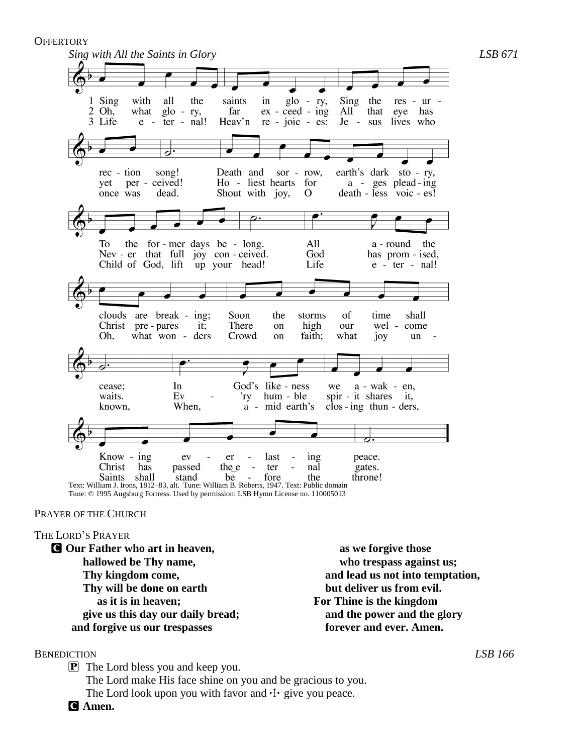**OFFERTORY** 

*Sing with All the Saints in Glory LSB 671* 1 Sing with all the saints  $g$ lo - ry, Sing the in res - ur  $2 \overline{Oh}$ what  $g$ lo - ry, far  $ex - ceed - ing$ All that eye has 3 Life Heav'n  $e$  - ter - nal!  $re - ioic - es$ : Je - sus lives who Death and earth's dark rec - tion song! sor - row, sto - ry, per - ceived! Ho - liest hearts for a - ges plead-ing yet once was dead. Shout with joy,  $\Omega$ death - less voic - es! To the for-mer days be - long. All a - round the Nev - er that full joy con - ceived. God has prom - ised, Child of God, lift up your head! Life  $e$  - ter - nal! clouds are break - ing; Soon of shall the storms time Christ pre - pares There high wel - come it; on our Oh, what won - ders Crowd faith; what on joy un In God's like - ness  $a - wak - en$ , cease; we waits. Ev 'ry hum - ble spir - it shares it, known, When, a - mid earth's  $\cos$  - ing thun - ders,  $Know - ing$ ev er last ing peace. Christ the e has passed  $\bar{z}$ ter nal gates. Saints shall stand be fore the throne! Text: William J. Irons, 1812–83, alt. Tune: William B. Roberts, 1947. Text: Public domain

Tune: © 1995 Augsburg Fortress. Used by permission: LSB Hymn License no. 110005013

### PRAYER OF THE CHURCH

#### THE LORD'S PRAYER

C **Our Father who art in heaven, hallowed be Thy name, Thy kingdom come, Thy will be done on earth as it is in heaven; give us this day our daily bread; and forgive us our trespasses**

 **as we forgive those who trespass against us; and lead us not into temptation, but deliver us from evil. For Thine is the kingdom and the power and the glory forever and ever. Amen.**

#### BENEDICTION *LSB 166*

P The Lord bless you and keep you. The Lord make His face shine on you and be gracious to you. The Lord look upon you with favor and  $\pm$  give you peace.

C **Amen.**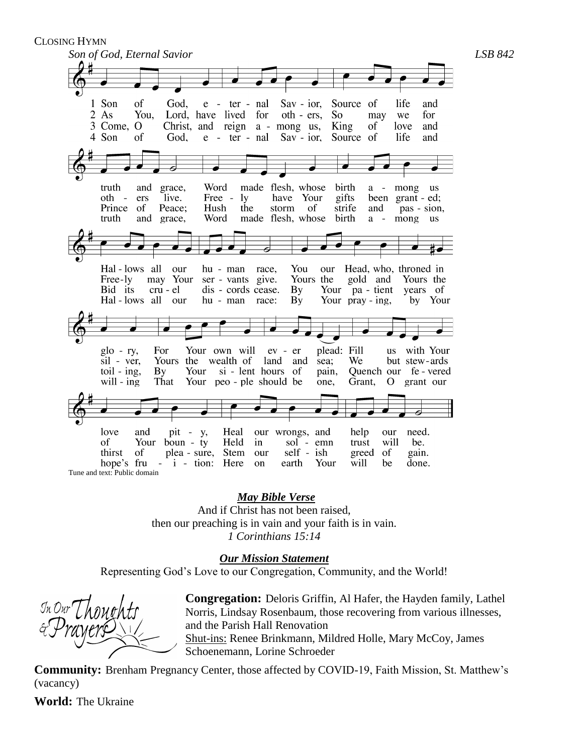CLOSING HYMN



*May Bible Verse*

And if Christ has not been raised, then our preaching is in vain and your faith is in vain. *1 Corinthians 15:14*

*Our Mission Statement*

Representing God's Love to our Congregation, Community, and the World!

**Congregation:** Deloris Griffin, Al Hafer, the Hayden family, Lathel Norris, Lindsay Rosenbaum, those recovering from various illnesses, and the Parish Hall Renovation Shut-ins: Renee Brinkmann, Mildred Holle, Mary McCoy, James Schoenemann, Lorine Schroeder

**Community:** Brenham Pregnancy Center, those affected by COVID-19, Faith Mission, St. Matthew's (vacancy)

**World:** The Ukraine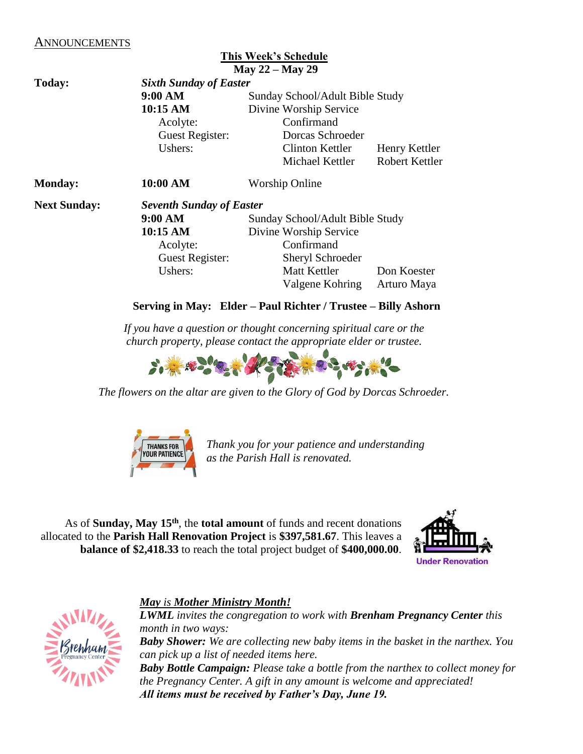# ANNOUNCEMENTS

|                     |                                 | <b>This Week's Schedule</b><br>May $22 -$ May 29 |                       |  |  |
|---------------------|---------------------------------|--------------------------------------------------|-----------------------|--|--|
| Today:              | <b>Sixth Sunday of Easter</b>   |                                                  |                       |  |  |
|                     | 9:00 AM                         | Sunday School/Adult Bible Study                  |                       |  |  |
|                     | 10:15 AM                        | Divine Worship Service                           |                       |  |  |
|                     | Acolyte:                        | Confirmand                                       |                       |  |  |
|                     | Guest Register:                 | Dorcas Schroeder                                 |                       |  |  |
|                     | Ushers:                         | Clinton Kettler                                  | Henry Kettler         |  |  |
|                     |                                 | Michael Kettler                                  | <b>Robert Kettler</b> |  |  |
| <b>Monday:</b>      | 10:00 AM                        | <b>Worship Online</b>                            |                       |  |  |
| <b>Next Sunday:</b> | <b>Seventh Sunday of Easter</b> |                                                  |                       |  |  |
|                     | 9:00 AM                         | Sunday School/Adult Bible Study                  |                       |  |  |
|                     | 10:15 AM                        | Divine Worship Service                           |                       |  |  |
|                     | Acolyte:                        | Confirmand                                       |                       |  |  |
|                     | Guest Register:                 | Sheryl Schroeder                                 |                       |  |  |
|                     | Ushers:                         | Matt Kettler                                     | Don Koester           |  |  |
|                     |                                 | Valgene Kohring                                  | Arturo Maya           |  |  |

# **Serving in May: Elder – Paul Richter / Trustee – Billy Ashorn**

*If you have a question or thought concerning spiritual care or the church property, please contact the appropriate elder or trustee.*



*The flowers on the altar are given to the Glory of God by Dorcas Schroeder.*



*Thank you for your patience and understanding as the Parish Hall is renovated.* 

As of **Sunday, May 15th**, the **total amount** of funds and recent donations allocated to the **Parish Hall Renovation Project** is **\$397,581.67**. This leaves a **balance of \$2,418.33** to reach the total project budget of **\$400,000.00**.





# *May is Mother Ministry Month!*

*LWML invites the congregation to work with Brenham Pregnancy Center this month in two ways: Baby Shower: We are collecting new baby items in the basket in the narthex. You can pick up a list of needed items here. Baby Bottle Campaign: Please take a bottle from the narthex to collect money for the Pregnancy Center. A gift in any amount is welcome and appreciated! All items must be received by Father's Day, June 19.*